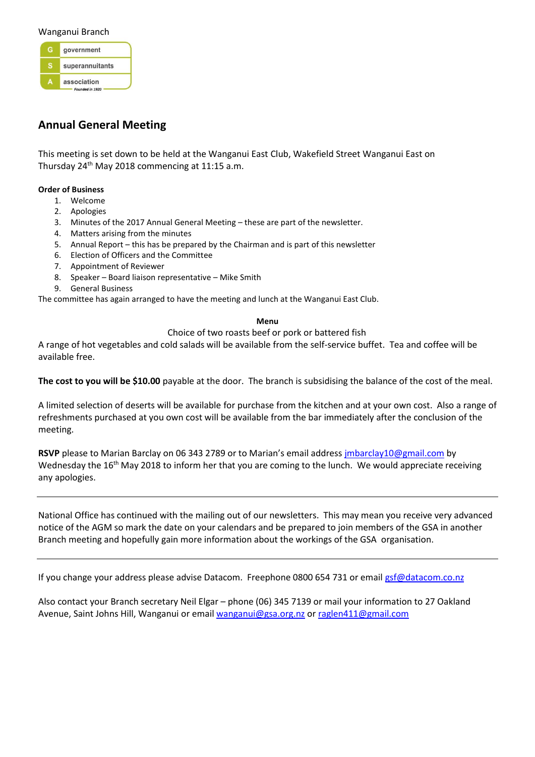#### Wanganui Branch

government superannuitants  $\overline{A}$ association Founded in 1920

# **Annual General Meeting**

This meeting is set down to be held at the Wanganui East Club, Wakefield Street Wanganui East on Thursday  $24<sup>th</sup>$  May 2018 commencing at 11:15 a.m.

#### **Order of Business**

- 1. Welcome
- 2. Apologies
- 3. Minutes of the 2017 Annual General Meeting these are part of the newsletter.
- 4. Matters arising from the minutes
- 5. Annual Report this has be prepared by the Chairman and is part of this newsletter
- 6. Election of Officers and the Committee
- 7. Appointment of Reviewer
- 8. Speaker Board liaison representative Mike Smith
- 9. General Business

The committee has again arranged to have the meeting and lunch at the Wanganui East Club.

#### **Menu**

Choice of two roasts beef or pork or battered fish

A range of hot vegetables and cold salads will be available from the self-service buffet. Tea and coffee will be available free.

**The cost to you will be \$10.00** payable at the door. The branch is subsidising the balance of the cost of the meal.

A limited selection of deserts will be available for purchase from the kitchen and at your own cost. Also a range of refreshments purchased at you own cost will be available from the bar immediately after the conclusion of the meeting.

**RSVP** please to Marian Barclay on 06 343 2789 or to Marian's email address [jmbarclay10@gmail.com](mailto:jmbarclay10@gmail.com) by Wednesday the 16<sup>th</sup> May 2018 to inform her that you are coming to the lunch. We would appreciate receiving any apologies.

National Office has continued with the mailing out of our newsletters. This may mean you receive very advanced notice of the AGM so mark the date on your calendars and be prepared to join members of the GSA in another Branch meeting and hopefully gain more information about the workings of the GSA organisation.

If you change your address please advise Datacom. Freephone 0800 654 731 or emai[l gsf@datacom.co.nz](mailto:gsf@datacom.co.nz)

Also contact your Branch secretary Neil Elgar – phone (06) 345 7139 or mail your information to 27 Oakland Avenue, Saint Johns Hill, Wanganui or email [wanganui@gsa.org.nz](mailto:wanganui@gsa.org.nz) or [raglen411@gmail.com](mailto:raglan411@gmail.com)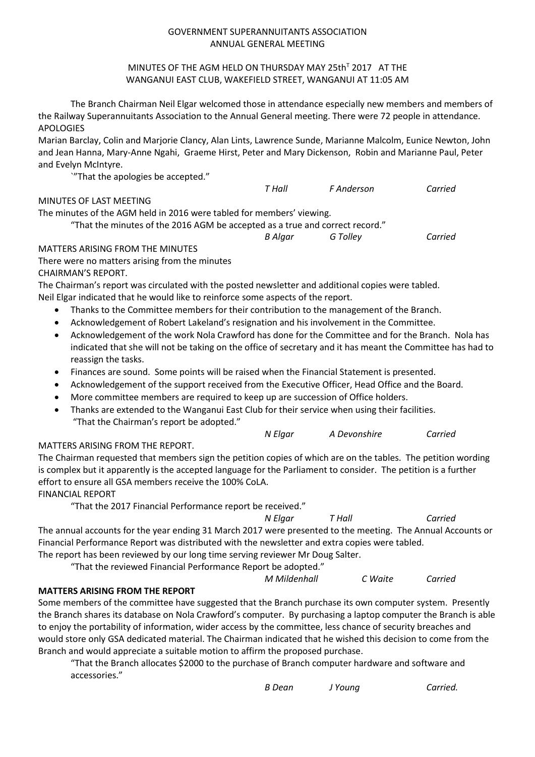### GOVERNMENT SUPERANNUITANTS ASSOCIATION ANNUAL GENERAL MEETING

### MINUTES OF THE AGM HELD ON THURSDAY MAY 25th<sup>T</sup> 2017 AT THE WANGANUI EAST CLUB, WAKEFIELD STREET, WANGANUI AT 11:05 AM

The Branch Chairman Neil Elgar welcomed those in attendance especially new members and members of the Railway Superannuitants Association to the Annual General meeting. There were 72 people in attendance. APOLOGIES

Marian Barclay, Colin and Marjorie Clancy, Alan Lints, Lawrence Sunde, Marianne Malcolm, Eunice Newton, John and Jean Hanna, Mary-Anne Ngahi, Graeme Hirst, Peter and Mary Dickenson, Robin and Marianne Paul, Peter and Evelyn McIntyre.

`"That the apologies be accepted."

### MINUTES OF LAST MEETING

The minutes of the AGM held in 2016 were tabled for members' viewing.

"That the minutes of the 2016 AGM be accepted as a true and correct record."

*B Algar G Tolley Carried*

### MATTERS ARISING FROM THE MINUTES

There were no matters arising from the minutes CHAIRMAN'S REPORT.

The Chairman's report was circulated with the posted newsletter and additional copies were tabled. Neil Elgar indicated that he would like to reinforce some aspects of the report.

- Thanks to the Committee members for their contribution to the management of the Branch.
- Acknowledgement of Robert Lakeland's resignation and his involvement in the Committee.
- Acknowledgement of the work Nola Crawford has done for the Committee and for the Branch. Nola has indicated that she will not be taking on the office of secretary and it has meant the Committee has had to reassign the tasks.
- Finances are sound. Some points will be raised when the Financial Statement is presented.
- Acknowledgement of the support received from the Executive Officer, Head Office and the Board.
- More committee members are required to keep up are succession of Office holders.
- Thanks are extended to the Wanganui East Club for their service when using their facilities. "That the Chairman's report be adopted."

*N Elgar A Devonshire Carried*

*T Hall F Anderson Carried*

## MATTERS ARISING FROM THE REPORT.

The Chairman requested that members sign the petition copies of which are on the tables. The petition wording is complex but it apparently is the accepted language for the Parliament to consider. The petition is a further effort to ensure all GSA members receive the 100% CoLA.

FINANCIAL REPORT

"That the 2017 Financial Performance report be received."

*N Elgar T Hall Carried* The annual accounts for the year ending 31 March 2017 were presented to the meeting. The Annual Accounts or Financial Performance Report was distributed with the newsletter and extra copies were tabled.

The report has been reviewed by our long time serving reviewer Mr Doug Salter. "That the reviewed Financial Performance Report be adopted."

*M Mildenhall C Waite Carried*

## **MATTERS ARISING FROM THE REPORT**

Some members of the committee have suggested that the Branch purchase its own computer system. Presently the Branch shares its database on Nola Crawford's computer. By purchasing a laptop computer the Branch is able to enjoy the portability of information, wider access by the committee, less chance of security breaches and would store only GSA dedicated material. The Chairman indicated that he wished this decision to come from the Branch and would appreciate a suitable motion to affirm the proposed purchase.

"That the Branch allocates \$2000 to the purchase of Branch computer hardware and software and accessories."

*B Dean J Young Carried.*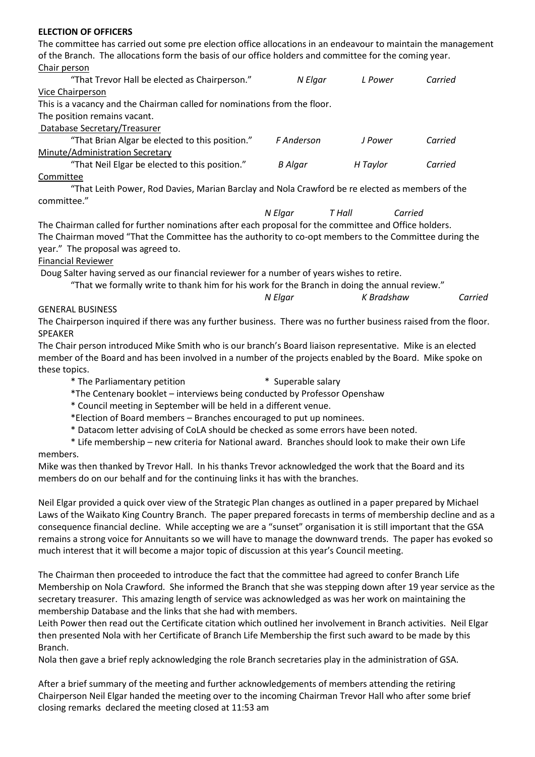### **ELECTION OF OFFICERS**

The committee has carried out some pre election office allocations in an endeavour to maintain the management of the Branch. The allocations form the basis of our office holders and committee for the coming year. Chair person

| "That Trevor Hall be elected as Chairperson."                                                   | N Elgar    | L Power  | Carried |  |
|-------------------------------------------------------------------------------------------------|------------|----------|---------|--|
| Vice Chairperson                                                                                |            |          |         |  |
| This is a vacancy and the Chairman called for nominations from the floor.                       |            |          |         |  |
| The position remains vacant.                                                                    |            |          |         |  |
| Database Secretary/Treasurer                                                                    |            |          |         |  |
| "That Brian Algar be elected to this position."                                                 | F Anderson | J Power  | Carried |  |
| Minute/Administration Secretary                                                                 |            |          |         |  |
| "That Neil Elgar be elected to this position."                                                  | B Algar    | H Taylor | Carried |  |
| Committee                                                                                       |            |          |         |  |
| "That Leith Power, Rod Davies, Marian Barclay and Nola Crawford be re elected as members of the |            |          |         |  |
| committee."                                                                                     |            |          |         |  |

*N Elgar T Hall Carried* The Chairman called for further nominations after each proposal for the committee and Office holders. The Chairman moved "That the Committee has the authority to co-opt members to the Committee during the

year." The proposal was agreed to.

### Financial Reviewer

Doug Salter having served as our financial reviewer for a number of years wishes to retire.

|  | "That we formally write to thank him for his work for the Branch in doing the annual review." |
|--|-----------------------------------------------------------------------------------------------|
|  |                                                                                               |

| N Elgar | K Bradshaw | Carried |
|---------|------------|---------|
|         |            |         |

#### GENERAL BUSINESS

The Chairperson inquired if there was any further business. There was no further business raised from the floor. SPEAKER

The Chair person introduced Mike Smith who is our branch's Board liaison representative. Mike is an elected member of the Board and has been involved in a number of the projects enabled by the Board. Mike spoke on these topics.

- \* The Parliamentary petition \* Superable salary
- \*The Centenary booklet interviews being conducted by Professor Openshaw

\* Council meeting in September will be held in a different venue.

\*Election of Board members – Branches encouraged to put up nominees.

\* Datacom letter advising of CoLA should be checked as some errors have been noted.

\* Life membership – new criteria for National award. Branches should look to make their own Life members.

### Mike was then thanked by Trevor Hall. In his thanks Trevor acknowledged the work that the Board and its members do on our behalf and for the continuing links it has with the branches.

Neil Elgar provided a quick over view of the Strategic Plan changes as outlined in a paper prepared by Michael Laws of the Waikato King Country Branch. The paper prepared forecasts in terms of membership decline and as a consequence financial decline. While accepting we are a "sunset" organisation it is still important that the GSA remains a strong voice for Annuitants so we will have to manage the downward trends. The paper has evoked so much interest that it will become a major topic of discussion at this year's Council meeting.

The Chairman then proceeded to introduce the fact that the committee had agreed to confer Branch Life Membership on Nola Crawford. She informed the Branch that she was stepping down after 19 year service as the secretary treasurer. This amazing length of service was acknowledged as was her work on maintaining the membership Database and the links that she had with members.

Leith Power then read out the Certificate citation which outlined her involvement in Branch activities. Neil Elgar then presented Nola with her Certificate of Branch Life Membership the first such award to be made by this Branch.

Nola then gave a brief reply acknowledging the role Branch secretaries play in the administration of GSA.

After a brief summary of the meeting and further acknowledgements of members attending the retiring Chairperson Neil Elgar handed the meeting over to the incoming Chairman Trevor Hall who after some brief closing remarks declared the meeting closed at 11:53 am